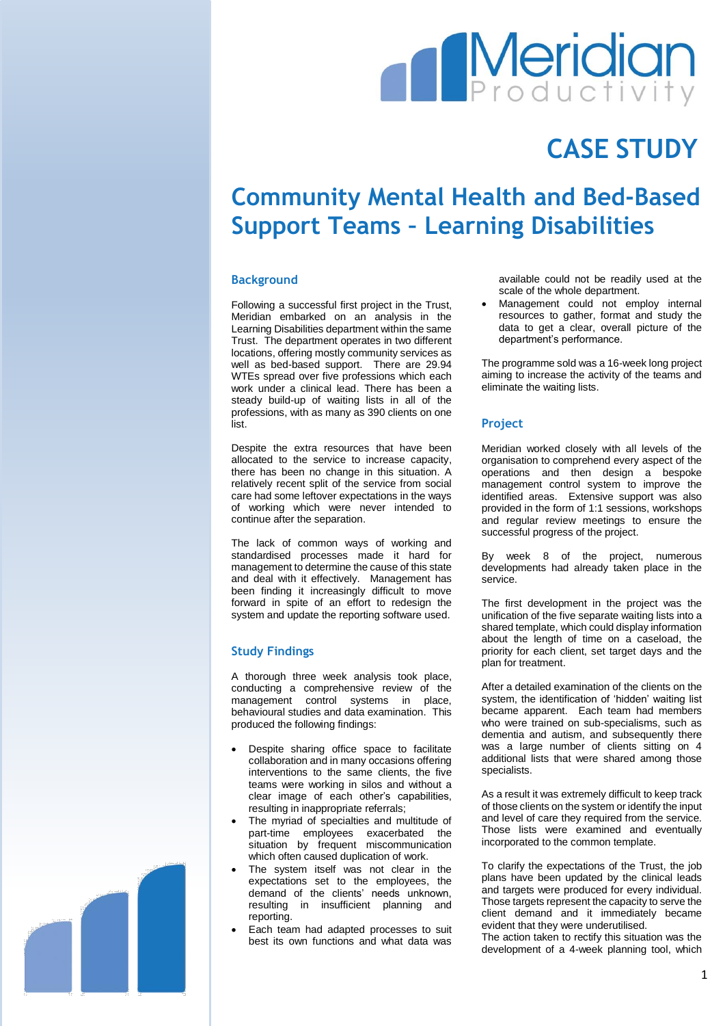# **Meridian**

## **CASE STUDY**

### **Community Mental Health and Bed-Based Support Teams – Learning Disabilities**

#### **Background**

Following a successful first project in the Trust, Meridian embarked on an analysis in the Learning Disabilities department within the same Trust. The department operates in two different locations, offering mostly community services as well as bed-based support. There are 29.94 WTEs spread over five professions which each work under a clinical lead. There has been a steady build-up of waiting lists in all of the professions, with as many as 390 clients on one list.

Despite the extra resources that have been allocated to the service to increase capacity, there has been no change in this situation. A relatively recent split of the service from social care had some leftover expectations in the ways of working which were never intended to continue after the separation.

The lack of common ways of working and standardised processes made it hard for management to determine the cause of this state and deal with it effectively. Management has been finding it increasingly difficult to move forward in spite of an effort to redesign the system and update the reporting software used.

#### **Study Findings**

A thorough three week analysis took place, conducting a comprehensive review of the management control systems in place, behavioural studies and data examination. This produced the following findings:

- Despite sharing office space to facilitate collaboration and in many occasions offering interventions to the same clients, the five teams were working in silos and without a clear image of each other's capabilities, resulting in inappropriate referrals;
- The myriad of specialties and multitude of part-time employees exacerbated the situation by frequent miscommunication which often caused duplication of work.
- The system itself was not clear in the expectations set to the employees, the demand of the clients' needs unknown, resulting in insufficient planning and reporting.
- Each team had adapted processes to suit best its own functions and what data was

available could not be readily used at the scale of the whole department.

 Management could not employ internal resources to gather, format and study the data to get a clear, overall picture of the department's performance.

The programme sold was a 16-week long project aiming to increase the activity of the teams and eliminate the waiting lists.

#### **Project**

Meridian worked closely with all levels of the organisation to comprehend every aspect of the operations and then design a bespoke management control system to improve the identified areas. Extensive support was also provided in the form of 1:1 sessions, workshops and regular review meetings to ensure the successful progress of the project.

By week 8 of the project, numerous developments had already taken place in the service.

The first development in the project was the unification of the five separate waiting lists into a shared template, which could display information about the length of time on a caseload, the priority for each client, set target days and the plan for treatment.

After a detailed examination of the clients on the system, the identification of 'hidden' waiting list became apparent. Each team had members who were trained on sub-specialisms, such as dementia and autism, and subsequently there was a large number of clients sitting on 4 additional lists that were shared among those specialists.

As a result it was extremely difficult to keep track of those clients on the system or identify the input and level of care they required from the service. Those lists were examined and eventually incorporated to the common template.

To clarify the expectations of the Trust, the job plans have been updated by the clinical leads and targets were produced for every individual. Those targets represent the capacity to serve the client demand and it immediately became evident that they were underutilised.

The action taken to rectify this situation was the development of a 4-week planning tool, which